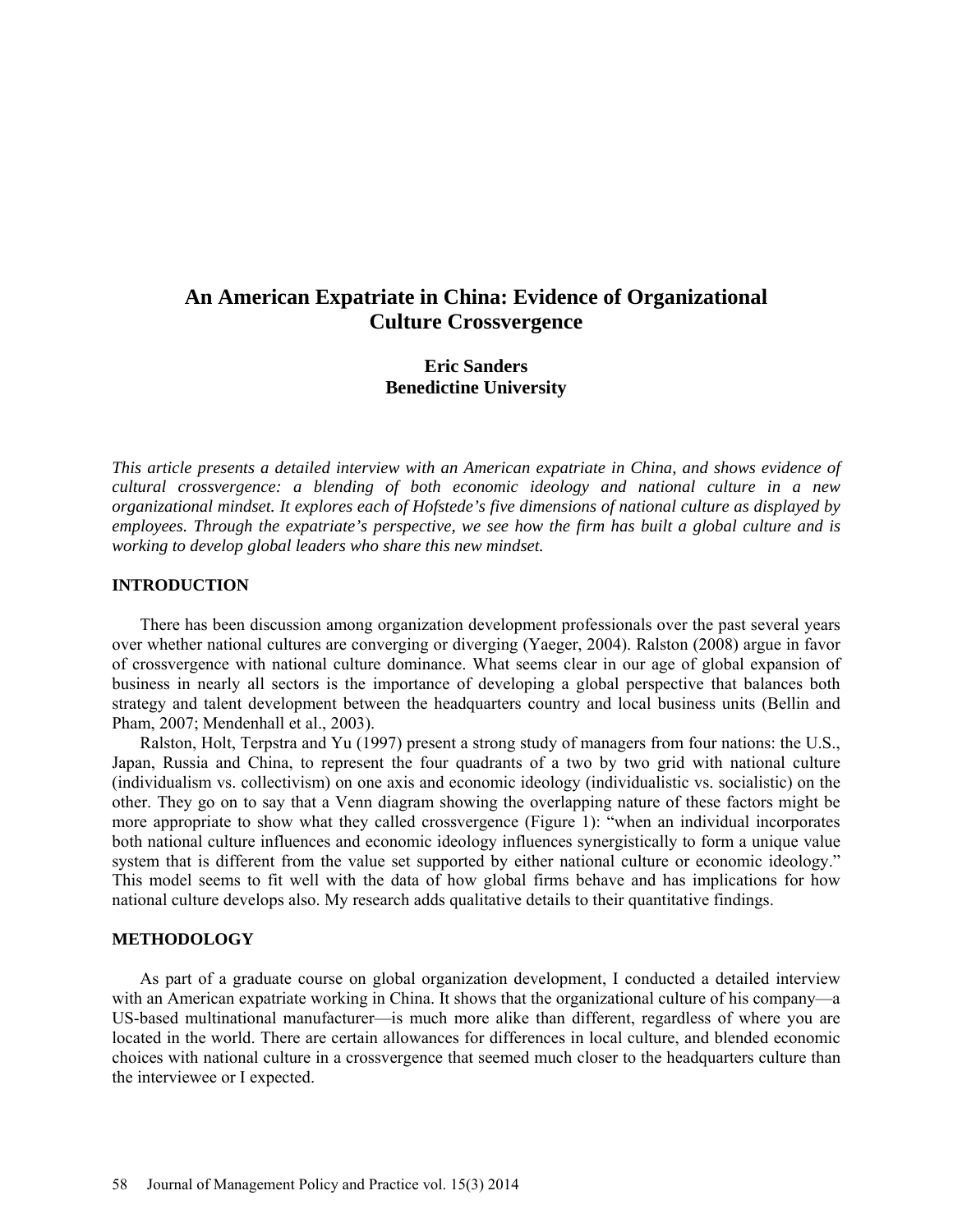# **An American Expatriate in China: Evidence of Organizational Culture Crossvergence**

# **Eric Sanders Benedictine University**

*This article presents a detailed interview with an American expatriate in China, and shows evidence of cultural crossvergence: a blending of both economic ideology and national culture in a new organizational mindset. It explores each of Hofstede's five dimensions of national culture as displayed by employees. Through the expatriate's perspective, we see how the firm has built a global culture and is working to develop global leaders who share this new mindset.* 

# **INTRODUCTION**

There has been discussion among organization development professionals over the past several years over whether national cultures are converging or diverging (Yaeger, 2004). Ralston (2008) argue in favor of crossvergence with national culture dominance. What seems clear in our age of global expansion of business in nearly all sectors is the importance of developing a global perspective that balances both strategy and talent development between the headquarters country and local business units (Bellin and Pham, 2007; Mendenhall et al., 2003).

Ralston, Holt, Terpstra and Yu (1997) present a strong study of managers from four nations: the U.S., Japan, Russia and China, to represent the four quadrants of a two by two grid with national culture (individualism vs. collectivism) on one axis and economic ideology (individualistic vs. socialistic) on the other. They go on to say that a Venn diagram showing the overlapping nature of these factors might be more appropriate to show what they called crossvergence (Figure 1): "when an individual incorporates both national culture influences and economic ideology influences synergistically to form a unique value system that is different from the value set supported by either national culture or economic ideology." This model seems to fit well with the data of how global firms behave and has implications for how national culture develops also. My research adds qualitative details to their quantitative findings.

## **METHODOLOGY**

As part of a graduate course on global organization development, I conducted a detailed interview with an American expatriate working in China. It shows that the organizational culture of his company—a US-based multinational manufacturer—is much more alike than different, regardless of where you are located in the world. There are certain allowances for differences in local culture, and blended economic choices with national culture in a crossvergence that seemed much closer to the headquarters culture than the interviewee or I expected.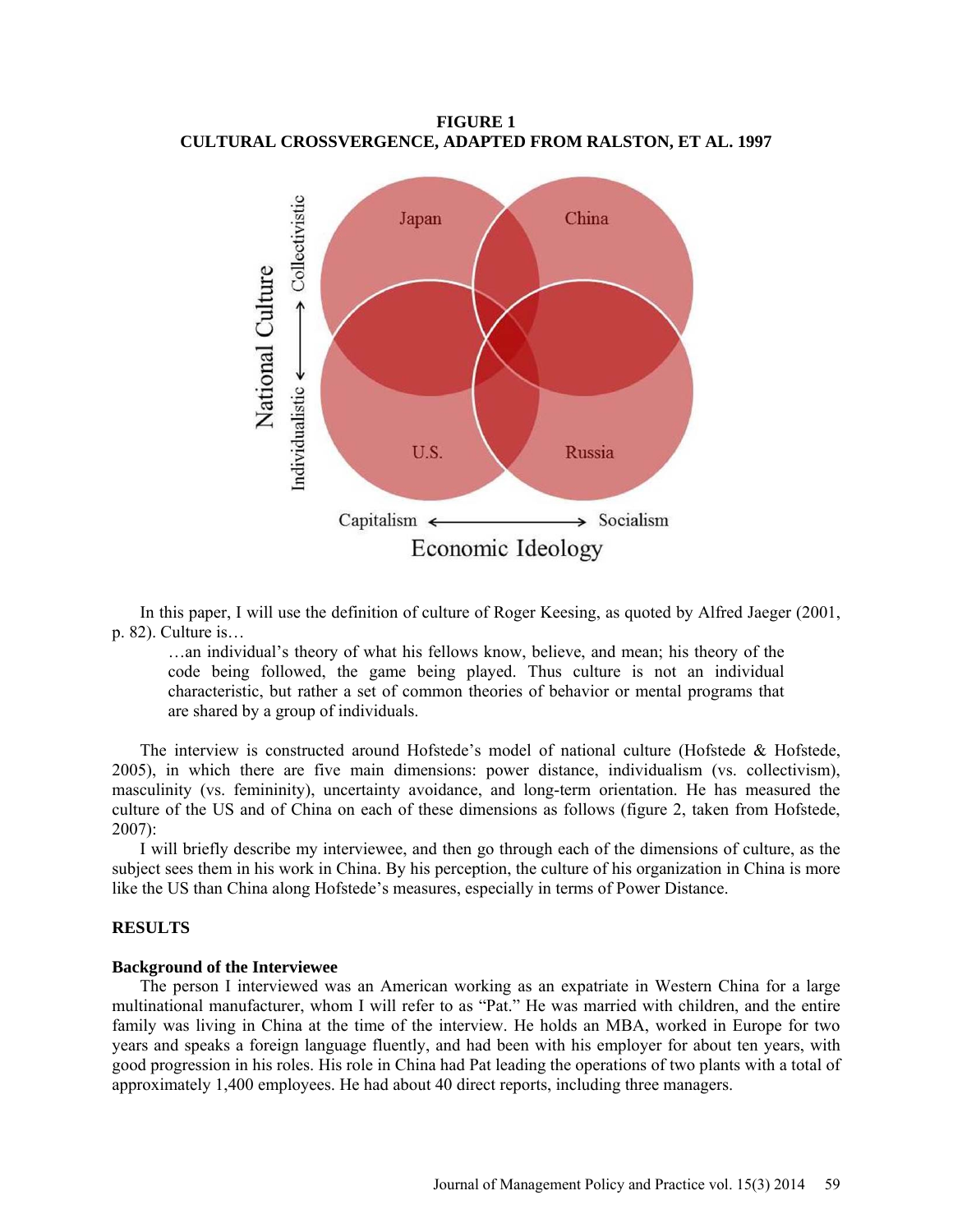**FIGURE 1 CULTURAL CROSSVERGENCE, ADAPTED FROM RALSTON, ET AL. 1997**



In this paper, I will use the definition of culture of Roger Keesing, as quoted by Alfred Jaeger (2001, p. 82). Culture is…

…an individual's theory of what his fellows know, believe, and mean; his theory of the code being followed, the game being played. Thus culture is not an individual characteristic, but rather a set of common theories of behavior or mental programs that are shared by a group of individuals.

The interview is constructed around Hofstede's model of national culture (Hofstede & Hofstede, 2005), in which there are five main dimensions: power distance, individualism (vs. collectivism), masculinity (vs. femininity), uncertainty avoidance, and long-term orientation. He has measured the culture of the US and of China on each of these dimensions as follows (figure 2, taken from Hofstede, 2007):

I will briefly describe my interviewee, and then go through each of the dimensions of culture, as the subject sees them in his work in China. By his perception, the culture of his organization in China is more like the US than China along Hofstede's measures, especially in terms of Power Distance.

### **RESULTS**

# **Background of the Interviewee**

The person I interviewed was an American working as an expatriate in Western China for a large multinational manufacturer, whom I will refer to as "Pat." He was married with children, and the entire family was living in China at the time of the interview. He holds an MBA, worked in Europe for two years and speaks a foreign language fluently, and had been with his employer for about ten years, with good progression in his roles. His role in China had Pat leading the operations of two plants with a total of approximately 1,400 employees. He had about 40 direct reports, including three managers.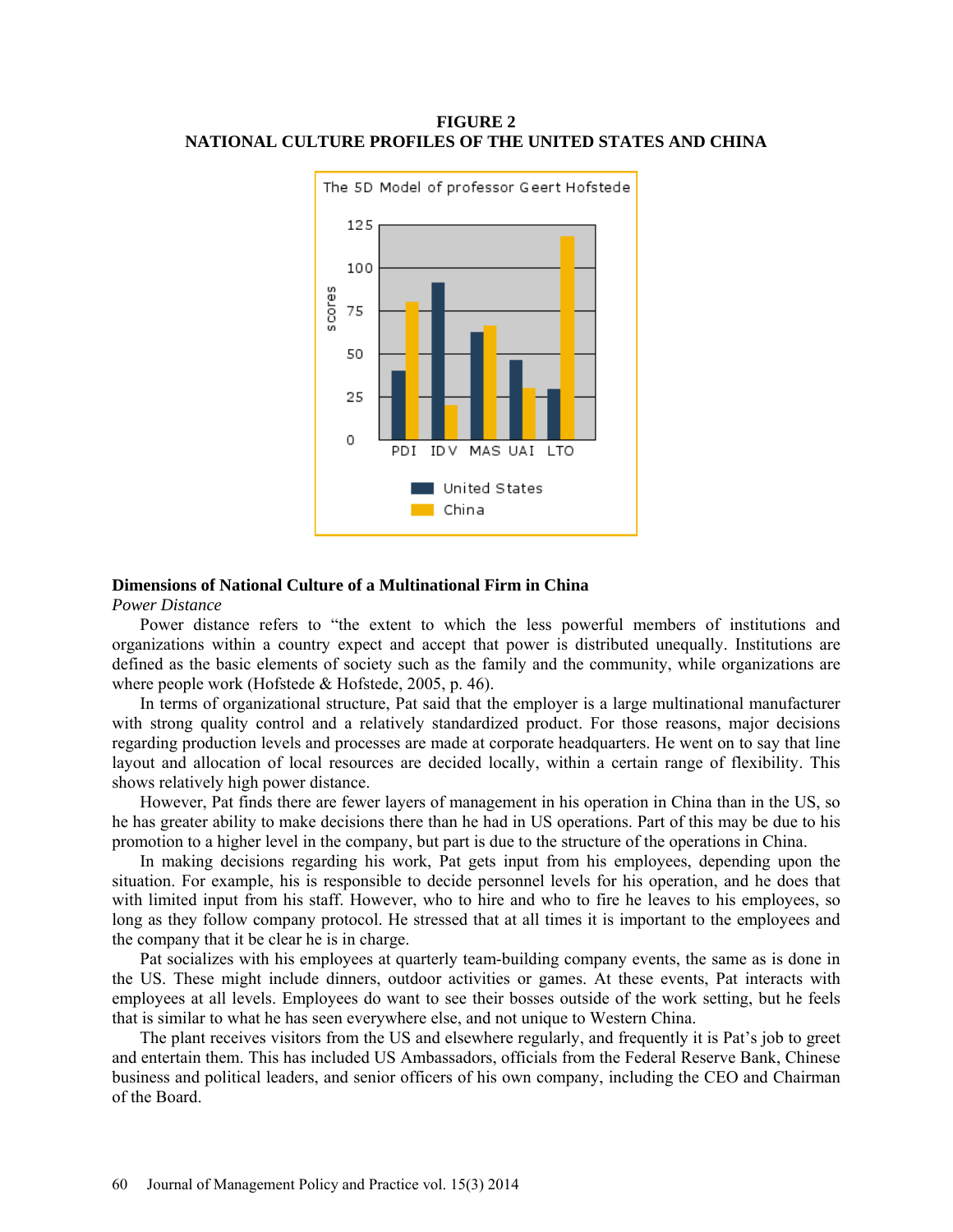



# **Dimensions of National Culture of a Multinational Firm in China**

## *Power Distance*

Power distance refers to "the extent to which the less powerful members of institutions and organizations within a country expect and accept that power is distributed unequally. Institutions are defined as the basic elements of society such as the family and the community, while organizations are where people work (Hofstede & Hofstede, 2005, p. 46).

In terms of organizational structure, Pat said that the employer is a large multinational manufacturer with strong quality control and a relatively standardized product. For those reasons, major decisions regarding production levels and processes are made at corporate headquarters. He went on to say that line layout and allocation of local resources are decided locally, within a certain range of flexibility. This shows relatively high power distance.

However, Pat finds there are fewer layers of management in his operation in China than in the US, so he has greater ability to make decisions there than he had in US operations. Part of this may be due to his promotion to a higher level in the company, but part is due to the structure of the operations in China.

In making decisions regarding his work, Pat gets input from his employees, depending upon the situation. For example, his is responsible to decide personnel levels for his operation, and he does that with limited input from his staff. However, who to hire and who to fire he leaves to his employees, so long as they follow company protocol. He stressed that at all times it is important to the employees and the company that it be clear he is in charge.

Pat socializes with his employees at quarterly team-building company events, the same as is done in the US. These might include dinners, outdoor activities or games. At these events, Pat interacts with employees at all levels. Employees do want to see their bosses outside of the work setting, but he feels that is similar to what he has seen everywhere else, and not unique to Western China.

The plant receives visitors from the US and elsewhere regularly, and frequently it is Pat's job to greet and entertain them. This has included US Ambassadors, officials from the Federal Reserve Bank, Chinese business and political leaders, and senior officers of his own company, including the CEO and Chairman of the Board.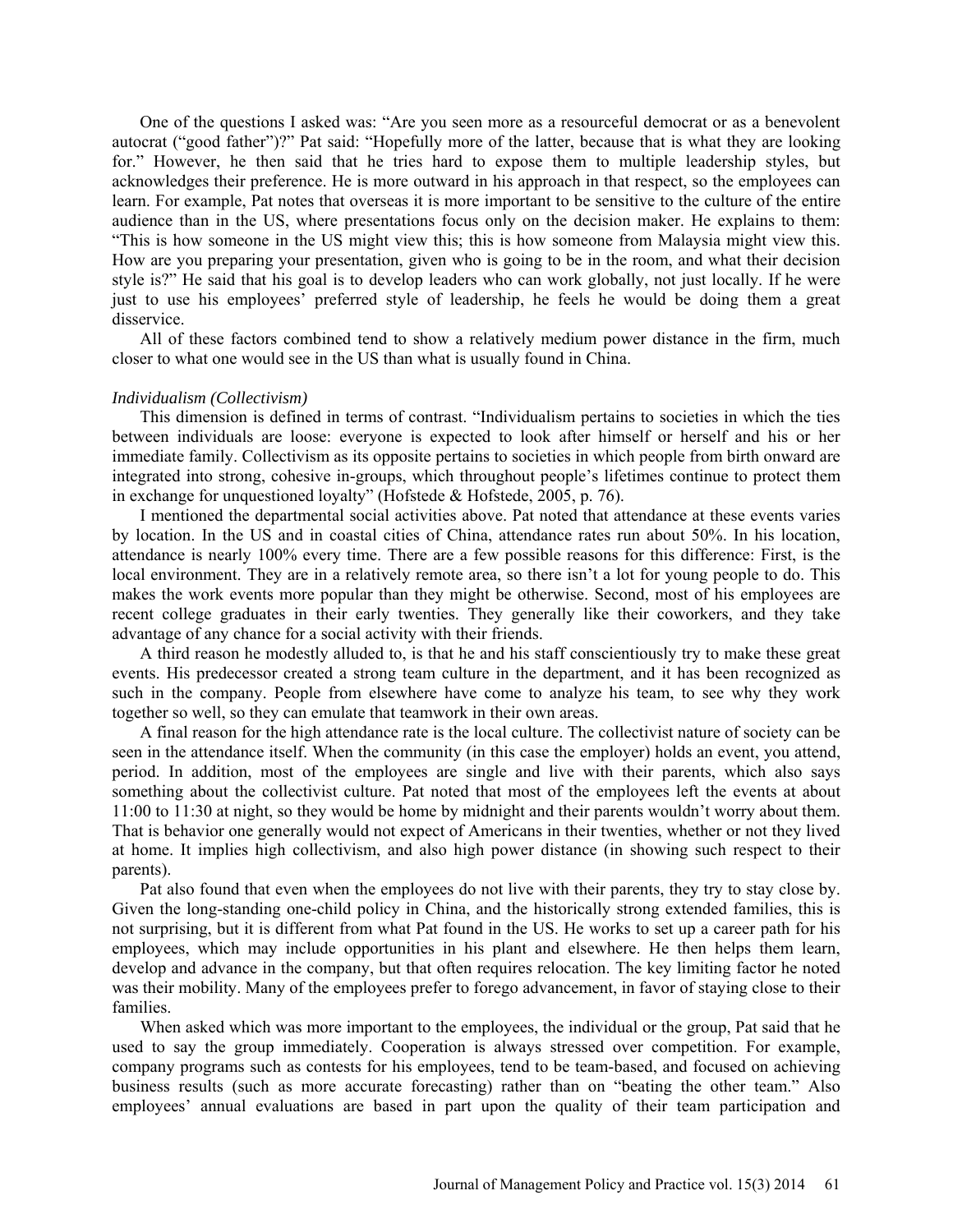One of the questions I asked was: "Are you seen more as a resourceful democrat or as a benevolent autocrat ("good father")?" Pat said: "Hopefully more of the latter, because that is what they are looking for." However, he then said that he tries hard to expose them to multiple leadership styles, but acknowledges their preference. He is more outward in his approach in that respect, so the employees can learn. For example, Pat notes that overseas it is more important to be sensitive to the culture of the entire audience than in the US, where presentations focus only on the decision maker. He explains to them: "This is how someone in the US might view this; this is how someone from Malaysia might view this. How are you preparing your presentation, given who is going to be in the room, and what their decision style is?" He said that his goal is to develop leaders who can work globally, not just locally. If he were just to use his employees' preferred style of leadership, he feels he would be doing them a great disservice.

All of these factors combined tend to show a relatively medium power distance in the firm, much closer to what one would see in the US than what is usually found in China.

#### *Individualism (Collectivism)*

This dimension is defined in terms of contrast. "Individualism pertains to societies in which the ties between individuals are loose: everyone is expected to look after himself or herself and his or her immediate family. Collectivism as its opposite pertains to societies in which people from birth onward are integrated into strong, cohesive in-groups, which throughout people's lifetimes continue to protect them in exchange for unquestioned loyalty" (Hofstede & Hofstede, 2005, p. 76).

I mentioned the departmental social activities above. Pat noted that attendance at these events varies by location. In the US and in coastal cities of China, attendance rates run about 50%. In his location, attendance is nearly 100% every time. There are a few possible reasons for this difference: First, is the local environment. They are in a relatively remote area, so there isn't a lot for young people to do. This makes the work events more popular than they might be otherwise. Second, most of his employees are recent college graduates in their early twenties. They generally like their coworkers, and they take advantage of any chance for a social activity with their friends.

A third reason he modestly alluded to, is that he and his staff conscientiously try to make these great events. His predecessor created a strong team culture in the department, and it has been recognized as such in the company. People from elsewhere have come to analyze his team, to see why they work together so well, so they can emulate that teamwork in their own areas.

A final reason for the high attendance rate is the local culture. The collectivist nature of society can be seen in the attendance itself. When the community (in this case the employer) holds an event, you attend, period. In addition, most of the employees are single and live with their parents, which also says something about the collectivist culture. Pat noted that most of the employees left the events at about 11:00 to 11:30 at night, so they would be home by midnight and their parents wouldn't worry about them. That is behavior one generally would not expect of Americans in their twenties, whether or not they lived at home. It implies high collectivism, and also high power distance (in showing such respect to their parents).

Pat also found that even when the employees do not live with their parents, they try to stay close by. Given the long-standing one-child policy in China, and the historically strong extended families, this is not surprising, but it is different from what Pat found in the US. He works to set up a career path for his employees, which may include opportunities in his plant and elsewhere. He then helps them learn, develop and advance in the company, but that often requires relocation. The key limiting factor he noted was their mobility. Many of the employees prefer to forego advancement, in favor of staying close to their families.

When asked which was more important to the employees, the individual or the group, Pat said that he used to say the group immediately. Cooperation is always stressed over competition. For example, company programs such as contests for his employees, tend to be team-based, and focused on achieving business results (such as more accurate forecasting) rather than on "beating the other team." Also employees' annual evaluations are based in part upon the quality of their team participation and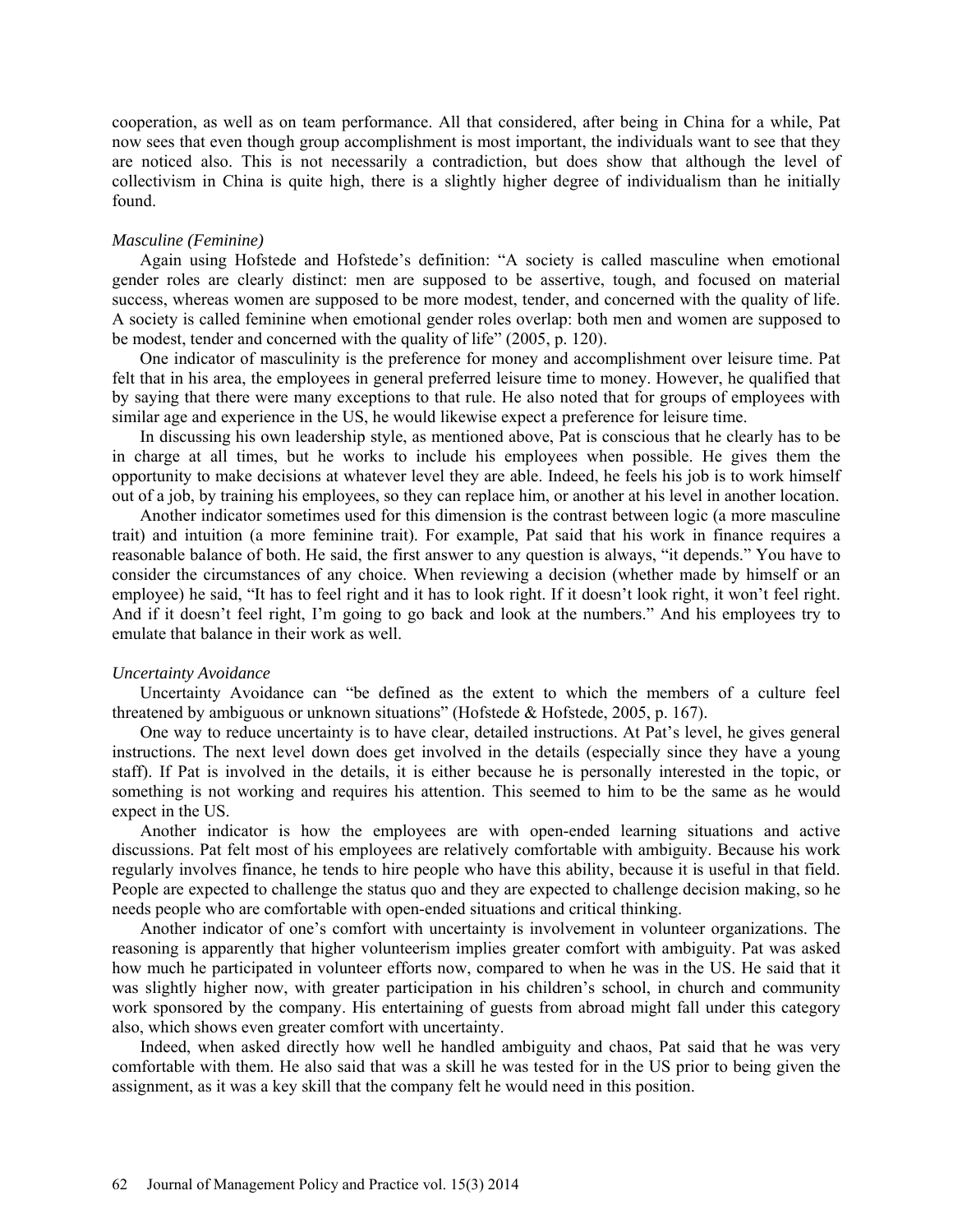cooperation, as well as on team performance. All that considered, after being in China for a while, Pat now sees that even though group accomplishment is most important, the individuals want to see that they are noticed also. This is not necessarily a contradiction, but does show that although the level of collectivism in China is quite high, there is a slightly higher degree of individualism than he initially found.

#### *Masculine (Feminine)*

Again using Hofstede and Hofstede's definition: "A society is called masculine when emotional gender roles are clearly distinct: men are supposed to be assertive, tough, and focused on material success, whereas women are supposed to be more modest, tender, and concerned with the quality of life. A society is called feminine when emotional gender roles overlap: both men and women are supposed to be modest, tender and concerned with the quality of life" (2005, p. 120).

One indicator of masculinity is the preference for money and accomplishment over leisure time. Pat felt that in his area, the employees in general preferred leisure time to money. However, he qualified that by saying that there were many exceptions to that rule. He also noted that for groups of employees with similar age and experience in the US, he would likewise expect a preference for leisure time.

In discussing his own leadership style, as mentioned above, Pat is conscious that he clearly has to be in charge at all times, but he works to include his employees when possible. He gives them the opportunity to make decisions at whatever level they are able. Indeed, he feels his job is to work himself out of a job, by training his employees, so they can replace him, or another at his level in another location.

Another indicator sometimes used for this dimension is the contrast between logic (a more masculine trait) and intuition (a more feminine trait). For example, Pat said that his work in finance requires a reasonable balance of both. He said, the first answer to any question is always, "it depends." You have to consider the circumstances of any choice. When reviewing a decision (whether made by himself or an employee) he said, "It has to feel right and it has to look right. If it doesn't look right, it won't feel right. And if it doesn't feel right, I'm going to go back and look at the numbers." And his employees try to emulate that balance in their work as well.

#### *Uncertainty Avoidance*

Uncertainty Avoidance can "be defined as the extent to which the members of a culture feel threatened by ambiguous or unknown situations" (Hofstede & Hofstede, 2005, p. 167).

One way to reduce uncertainty is to have clear, detailed instructions. At Pat's level, he gives general instructions. The next level down does get involved in the details (especially since they have a young staff). If Pat is involved in the details, it is either because he is personally interested in the topic, or something is not working and requires his attention. This seemed to him to be the same as he would expect in the US.

Another indicator is how the employees are with open-ended learning situations and active discussions. Pat felt most of his employees are relatively comfortable with ambiguity. Because his work regularly involves finance, he tends to hire people who have this ability, because it is useful in that field. People are expected to challenge the status quo and they are expected to challenge decision making, so he needs people who are comfortable with open-ended situations and critical thinking.

Another indicator of one's comfort with uncertainty is involvement in volunteer organizations. The reasoning is apparently that higher volunteerism implies greater comfort with ambiguity. Pat was asked how much he participated in volunteer efforts now, compared to when he was in the US. He said that it was slightly higher now, with greater participation in his children's school, in church and community work sponsored by the company. His entertaining of guests from abroad might fall under this category also, which shows even greater comfort with uncertainty.

Indeed, when asked directly how well he handled ambiguity and chaos, Pat said that he was very comfortable with them. He also said that was a skill he was tested for in the US prior to being given the assignment, as it was a key skill that the company felt he would need in this position.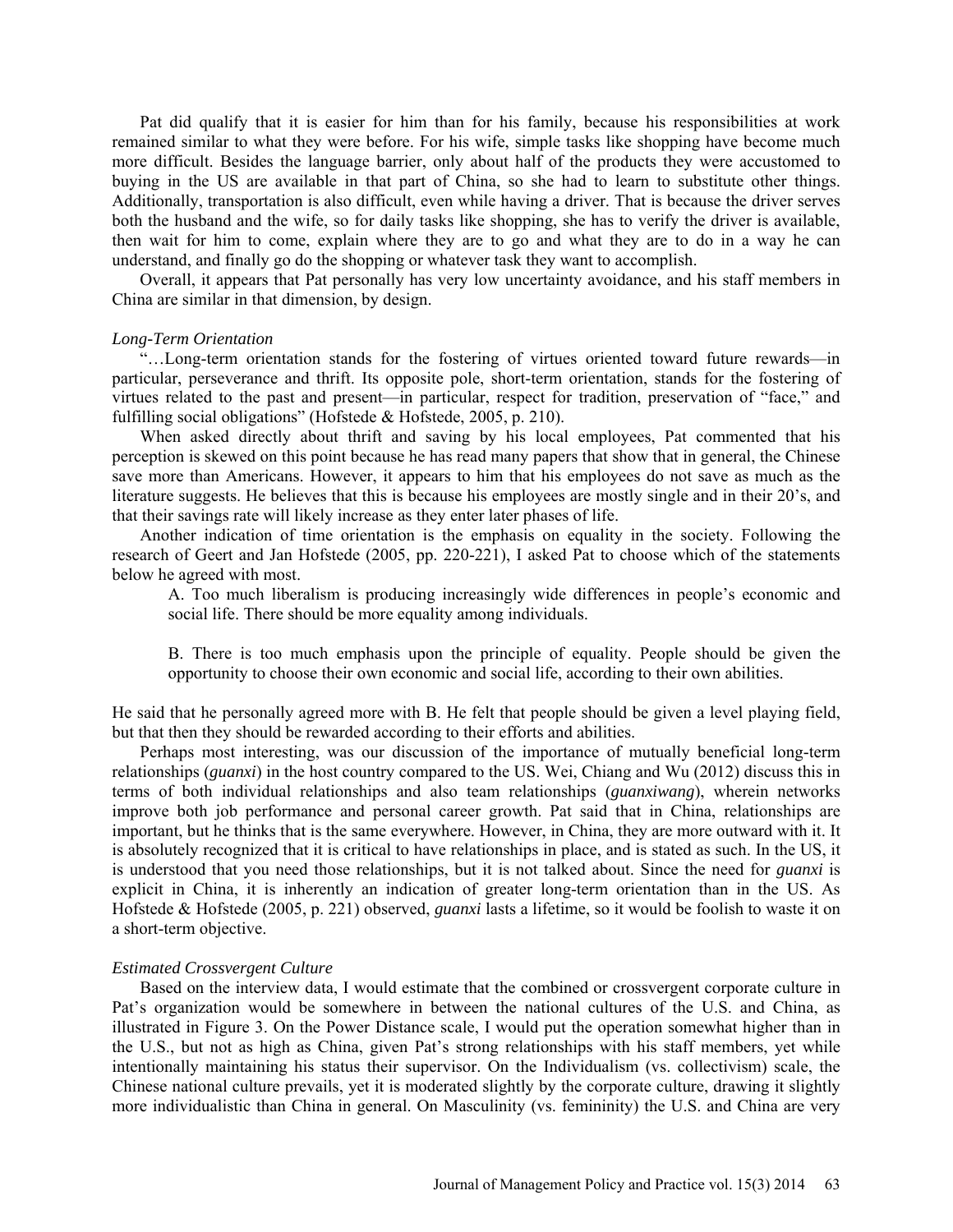Pat did qualify that it is easier for him than for his family, because his responsibilities at work remained similar to what they were before. For his wife, simple tasks like shopping have become much more difficult. Besides the language barrier, only about half of the products they were accustomed to buying in the US are available in that part of China, so she had to learn to substitute other things. Additionally, transportation is also difficult, even while having a driver. That is because the driver serves both the husband and the wife, so for daily tasks like shopping, she has to verify the driver is available, then wait for him to come, explain where they are to go and what they are to do in a way he can understand, and finally go do the shopping or whatever task they want to accomplish.

Overall, it appears that Pat personally has very low uncertainty avoidance, and his staff members in China are similar in that dimension, by design.

## *Long-Term Orientation*

"…Long-term orientation stands for the fostering of virtues oriented toward future rewards—in particular, perseverance and thrift. Its opposite pole, short-term orientation, stands for the fostering of virtues related to the past and present—in particular, respect for tradition, preservation of "face," and fulfilling social obligations" (Hofstede & Hofstede, 2005, p. 210).

When asked directly about thrift and saving by his local employees, Pat commented that his perception is skewed on this point because he has read many papers that show that in general, the Chinese save more than Americans. However, it appears to him that his employees do not save as much as the literature suggests. He believes that this is because his employees are mostly single and in their 20's, and that their savings rate will likely increase as they enter later phases of life.

Another indication of time orientation is the emphasis on equality in the society. Following the research of Geert and Jan Hofstede (2005, pp. 220-221), I asked Pat to choose which of the statements below he agreed with most.

A. Too much liberalism is producing increasingly wide differences in people's economic and social life. There should be more equality among individuals.

B. There is too much emphasis upon the principle of equality. People should be given the opportunity to choose their own economic and social life, according to their own abilities.

He said that he personally agreed more with B. He felt that people should be given a level playing field, but that then they should be rewarded according to their efforts and abilities.

Perhaps most interesting, was our discussion of the importance of mutually beneficial long-term relationships (*guanxi*) in the host country compared to the US. Wei, Chiang and Wu (2012) discuss this in terms of both individual relationships and also team relationships (*guanxiwang*), wherein networks improve both job performance and personal career growth. Pat said that in China, relationships are important, but he thinks that is the same everywhere. However, in China, they are more outward with it. It is absolutely recognized that it is critical to have relationships in place, and is stated as such. In the US, it is understood that you need those relationships, but it is not talked about. Since the need for *guanxi* is explicit in China, it is inherently an indication of greater long-term orientation than in the US. As Hofstede & Hofstede (2005, p. 221) observed, *guanxi* lasts a lifetime, so it would be foolish to waste it on a short-term objective.

#### *Estimated Crossvergent Culture*

Based on the interview data, I would estimate that the combined or crossvergent corporate culture in Pat's organization would be somewhere in between the national cultures of the U.S. and China, as illustrated in Figure 3. On the Power Distance scale, I would put the operation somewhat higher than in the U.S., but not as high as China, given Pat's strong relationships with his staff members, yet while intentionally maintaining his status their supervisor. On the Individualism (vs. collectivism) scale, the Chinese national culture prevails, yet it is moderated slightly by the corporate culture, drawing it slightly more individualistic than China in general. On Masculinity (vs. femininity) the U.S. and China are very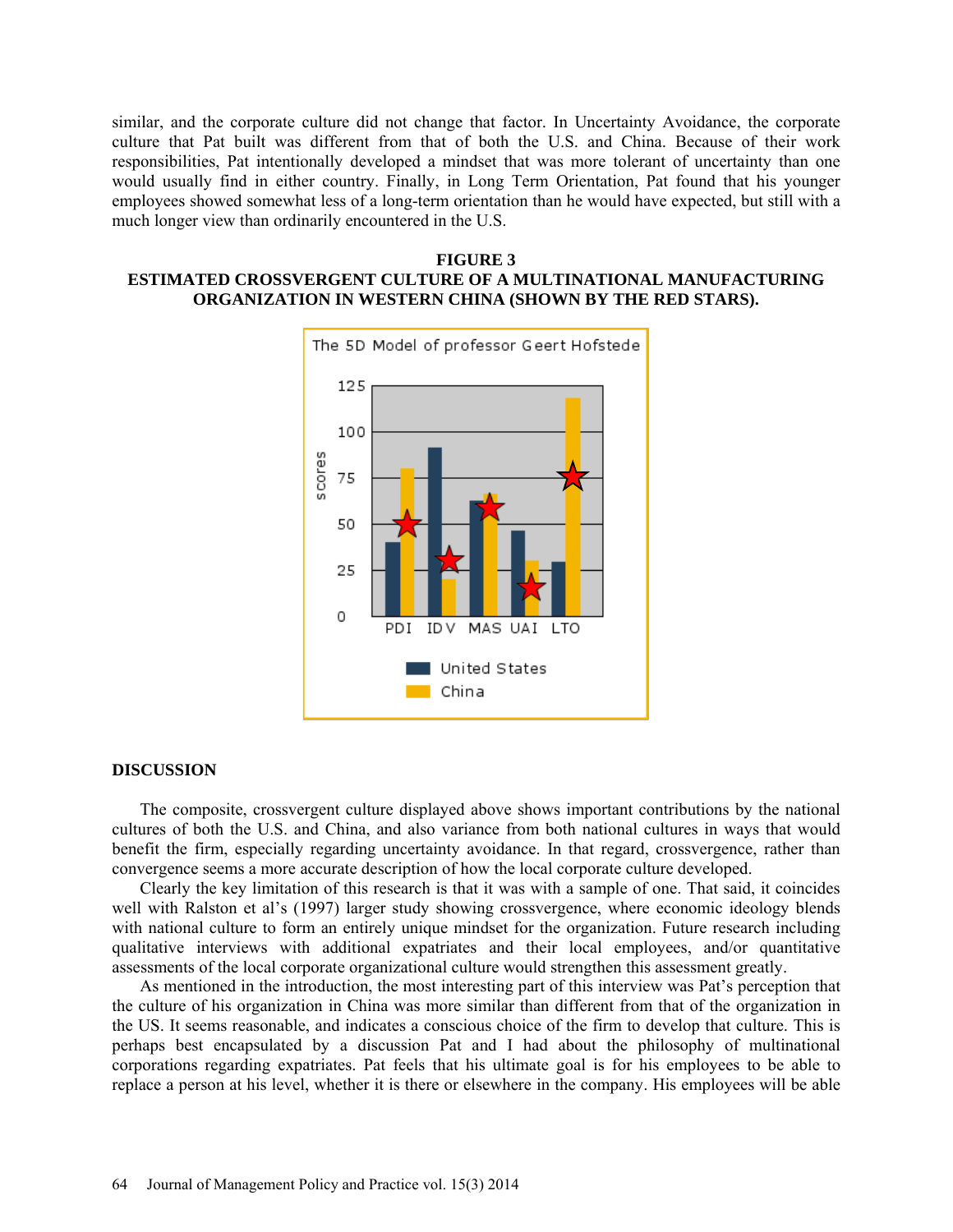similar, and the corporate culture did not change that factor. In Uncertainty Avoidance, the corporate culture that Pat built was different from that of both the U.S. and China. Because of their work responsibilities, Pat intentionally developed a mindset that was more tolerant of uncertainty than one would usually find in either country. Finally, in Long Term Orientation, Pat found that his younger employees showed somewhat less of a long-term orientation than he would have expected, but still with a much longer view than ordinarily encountered in the U.S.

# **FIGURE 3**

# **ESTIMATED CROSSVERGENT CULTURE OF A MULTINATIONAL MANUFACTURING ORGANIZATION IN WESTERN CHINA (SHOWN BY THE RED STARS).**



#### **DISCUSSION**

The composite, crossvergent culture displayed above shows important contributions by the national cultures of both the U.S. and China, and also variance from both national cultures in ways that would benefit the firm, especially regarding uncertainty avoidance. In that regard, crossvergence, rather than convergence seems a more accurate description of how the local corporate culture developed.

Clearly the key limitation of this research is that it was with a sample of one. That said, it coincides well with Ralston et al's (1997) larger study showing crossvergence, where economic ideology blends with national culture to form an entirely unique mindset for the organization. Future research including qualitative interviews with additional expatriates and their local employees, and/or quantitative assessments of the local corporate organizational culture would strengthen this assessment greatly.

As mentioned in the introduction, the most interesting part of this interview was Pat's perception that the culture of his organization in China was more similar than different from that of the organization in the US. It seems reasonable, and indicates a conscious choice of the firm to develop that culture. This is perhaps best encapsulated by a discussion Pat and I had about the philosophy of multinational corporations regarding expatriates. Pat feels that his ultimate goal is for his employees to be able to replace a person at his level, whether it is there or elsewhere in the company. His employees will be able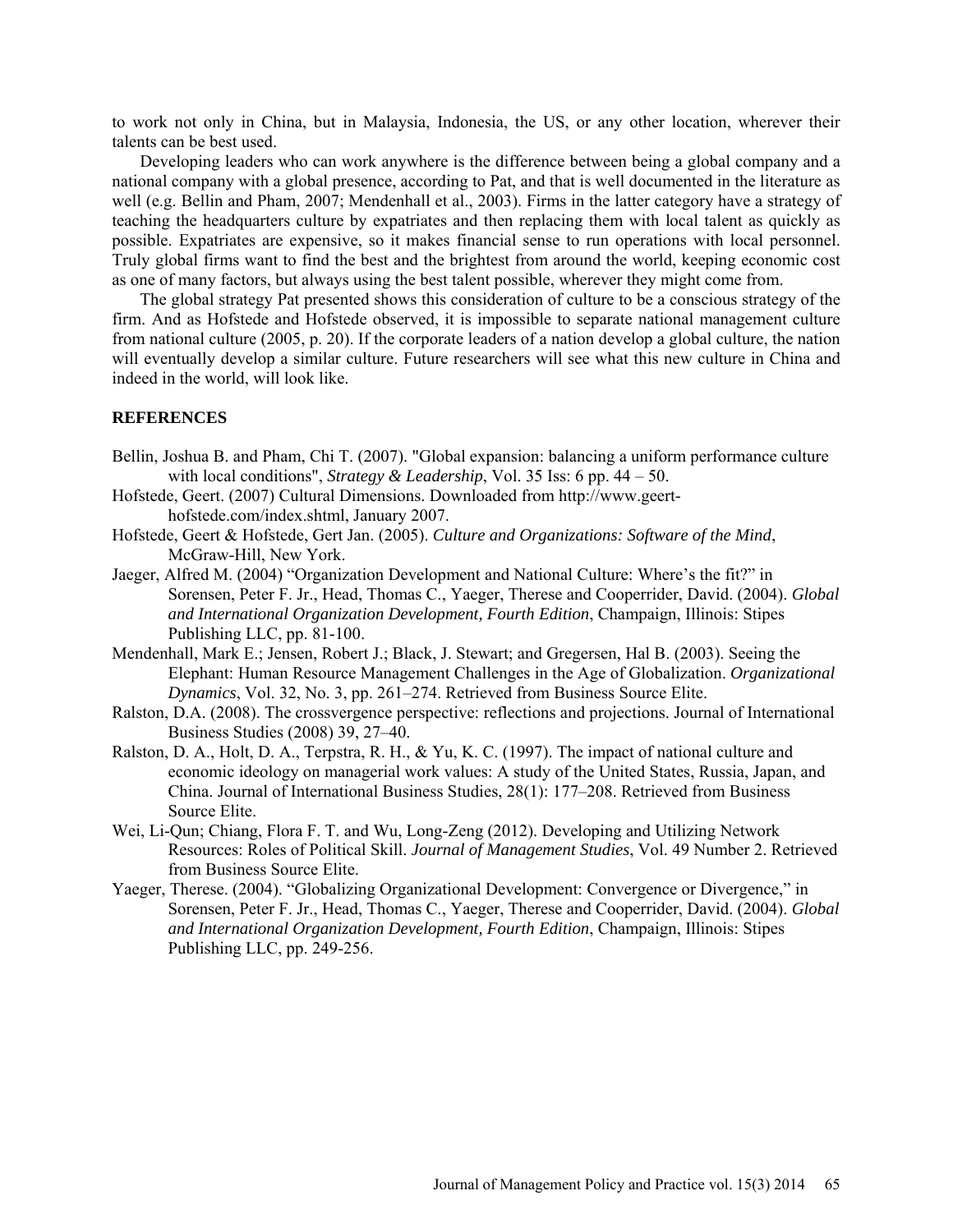to work not only in China, but in Malaysia, Indonesia, the US, or any other location, wherever their talents can be best used.

Developing leaders who can work anywhere is the difference between being a global company and a national company with a global presence, according to Pat, and that is well documented in the literature as well (e.g. Bellin and Pham, 2007; Mendenhall et al., 2003). Firms in the latter category have a strategy of teaching the headquarters culture by expatriates and then replacing them with local talent as quickly as possible. Expatriates are expensive, so it makes financial sense to run operations with local personnel. Truly global firms want to find the best and the brightest from around the world, keeping economic cost as one of many factors, but always using the best talent possible, wherever they might come from.

The global strategy Pat presented shows this consideration of culture to be a conscious strategy of the firm. And as Hofstede and Hofstede observed, it is impossible to separate national management culture from national culture (2005, p. 20). If the corporate leaders of a nation develop a global culture, the nation will eventually develop a similar culture. Future researchers will see what this new culture in China and indeed in the world, will look like.

# **REFERENCES**

- Bellin, Joshua B. and Pham, Chi T. (2007). "Global expansion: balancing a uniform performance culture with local conditions", *Strategy & Leadership*, Vol. 35 Iss: 6 pp. 44 – 50.
- Hofstede, Geert. (2007) Cultural Dimensions. Downloaded from [http://www.geert](http://www.geert-hofstede.com/index.shtml)[hofstede.com/index.shtml,](http://www.geert-hofstede.com/index.shtml) January 2007.
- Hofstede, Geert & Hofstede, Gert Jan. (2005). *Culture and Organizations: Software of the Mind*, McGraw-Hill, New York.
- Jaeger, Alfred M. (2004) "Organization Development and National Culture: Where's the fit?" in Sorensen, Peter F. Jr., Head, Thomas C., Yaeger, Therese and Cooperrider, David. (2004). *Global and International Organization Development, Fourth Edition*, Champaign, Illinois: Stipes Publishing LLC, pp. 81-100.
- Mendenhall, Mark E.; Jensen, Robert J.; Black, J. Stewart; and Gregersen, Hal B. (2003). Seeing the Elephant: Human Resource Management Challenges in the Age of Globalization. *Organizational Dynamics*, Vol. 32, No. 3, pp. 261–274. Retrieved from Business Source Elite.
- Ralston, D.A. (2008). The crossvergence perspective: reflections and projections. Journal of International Business Studies (2008) 39, 27–40.
- Ralston, D. A., Holt, D. A., Terpstra, R. H., & Yu, K. C. (1997). The impact of national culture and economic ideology on managerial work values: A study of the United States, Russia, Japan, and China. Journal of International Business Studies, 28(1): 177–208. Retrieved from Business Source Elite.
- Wei, Li-Qun; Chiang, Flora F. T. and Wu, Long-Zeng (2012). Developing and Utilizing Network Resources: Roles of Political Skill. *Journal of Management Studies*, Vol. 49 Number 2. Retrieved from Business Source Elite.
- Yaeger, Therese. (2004). "Globalizing Organizational Development: Convergence or Divergence," in Sorensen, Peter F. Jr., Head, Thomas C., Yaeger, Therese and Cooperrider, David. (2004). *Global and International Organization Development, Fourth Edition*, Champaign, Illinois: Stipes Publishing LLC, pp. 249-256.